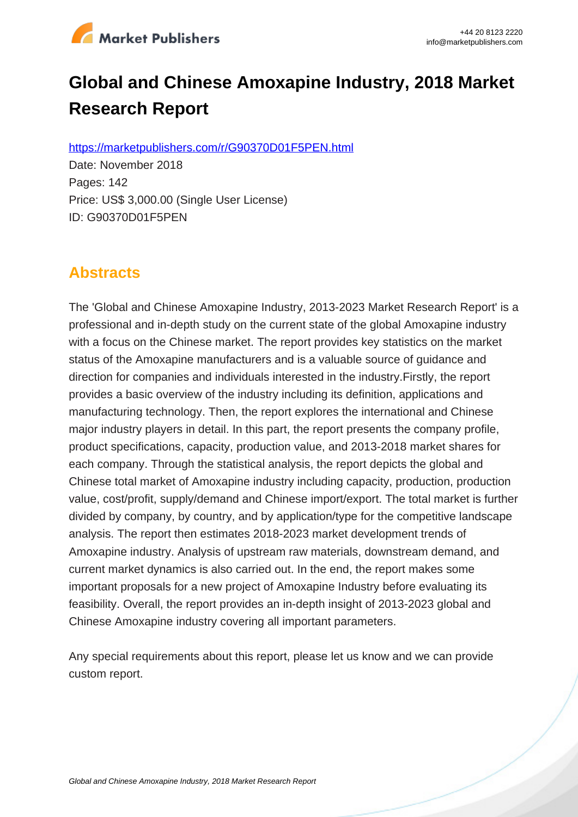

# **Global and Chinese Amoxapine Industry, 2018 Market Research Report**

https://marketpublishers.com/r/G90370D01F5PEN.html

Date: November 2018 Pages: 142 Price: US\$ 3,000.00 (Single User License) ID: G90370D01F5PEN

# **Abstracts**

The 'Global and Chinese Amoxapine Industry, 2013-2023 Market Research Report' is a professional and in-depth study on the current state of the global Amoxapine industry with a focus on the Chinese market. The report provides key statistics on the market status of the Amoxapine manufacturers and is a valuable source of guidance and direction for companies and individuals interested in the industry.Firstly, the report provides a basic overview of the industry including its definition, applications and manufacturing technology. Then, the report explores the international and Chinese major industry players in detail. In this part, the report presents the company profile, product specifications, capacity, production value, and 2013-2018 market shares for each company. Through the statistical analysis, the report depicts the global and Chinese total market of Amoxapine industry including capacity, production, production value, cost/profit, supply/demand and Chinese import/export. The total market is further divided by company, by country, and by application/type for the competitive landscape analysis. The report then estimates 2018-2023 market development trends of Amoxapine industry. Analysis of upstream raw materials, downstream demand, and current market dynamics is also carried out. In the end, the report makes some important proposals for a new project of Amoxapine Industry before evaluating its feasibility. Overall, the report provides an in-depth insight of 2013-2023 global and Chinese Amoxapine industry covering all important parameters.

Any special requirements about this report, please let us know and we can provide custom report.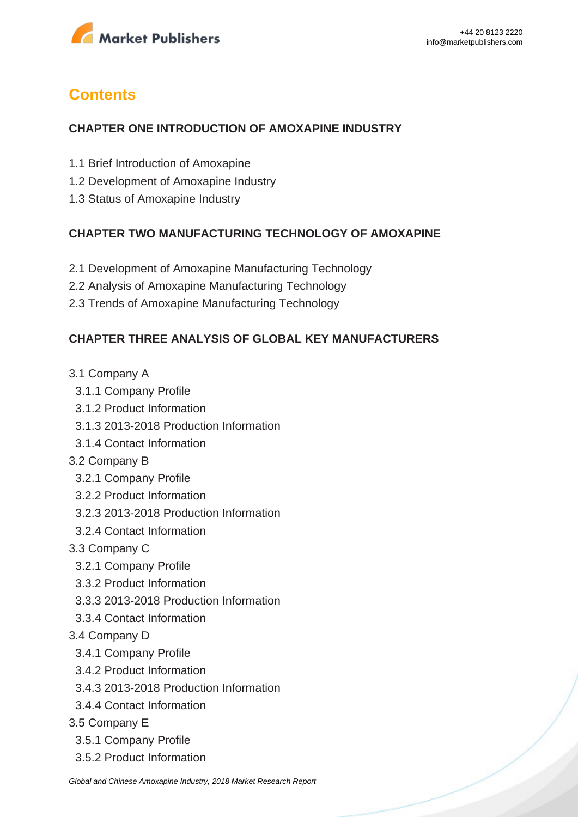

# **Contents**

#### **CHAPTER ONE INTRODUCTION OF AMOXAPINE INDUSTRY**

- 1.1 Brief Introduction of Amoxapine
- 1.2 Development of Amoxapine Industry
- 1.3 Status of Amoxapine Industry

#### **CHAPTER TWO MANUFACTURING TECHNOLOGY OF AMOXAPINE**

- 2.1 Development of Amoxapine Manufacturing Technology
- 2.2 Analysis of Amoxapine Manufacturing Technology
- 2.3 Trends of Amoxapine Manufacturing Technology

#### **CHAPTER THREE ANALYSIS OF GLOBAL KEY MANUFACTURERS**

- 3.1 Company A
	- 3.1.1 Company Profile
	- 3.1.2 Product Information
	- 3.1.3 2013-2018 Production Information
- 3.1.4 Contact Information
- 3.2 Company B
	- 3.2.1 Company Profile
	- 3.2.2 Product Information
	- 3.2.3 2013-2018 Production Information
	- 3.2.4 Contact Information
- 3.3 Company C
	- 3.2.1 Company Profile
	- 3.3.2 Product Information
	- 3.3.3 2013-2018 Production Information
	- 3.3.4 Contact Information
- 3.4 Company D
	- 3.4.1 Company Profile
	- 3.4.2 Product Information
	- 3.4.3 2013-2018 Production Information
	- 3.4.4 Contact Information
- 3.5 Company E
	- 3.5.1 Company Profile
	- 3.5.2 Product Information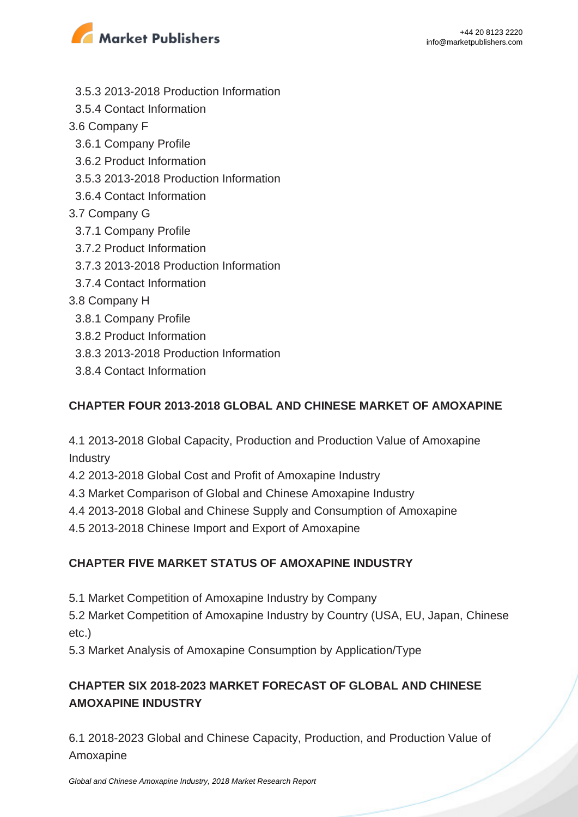

- 3.5.3 2013-2018 Production Information
- 3.5.4 Contact Information
- 3.6 Company F
	- 3.6.1 Company Profile
	- 3.6.2 Product Information
	- 3.5.3 2013-2018 Production Information
	- 3.6.4 Contact Information

#### 3.7 Company G

- 3.7.1 Company Profile
- 3.7.2 Product Information
- 3.7.3 2013-2018 Production Information
- 3.7.4 Contact Information
- 3.8 Company H
	- 3.8.1 Company Profile
	- 3.8.2 Product Information
	- 3.8.3 2013-2018 Production Information
	- 3.8.4 Contact Information

#### **CHAPTER FOUR 2013-2018 GLOBAL AND CHINESE MARKET OF AMOXAPINE**

4.1 2013-2018 Global Capacity, Production and Production Value of Amoxapine Industry

- 4.2 2013-2018 Global Cost and Profit of Amoxapine Industry
- 4.3 Market Comparison of Global and Chinese Amoxapine Industry
- 4.4 2013-2018 Global and Chinese Supply and Consumption of Amoxapine
- 4.5 2013-2018 Chinese Import and Export of Amoxapine

#### **CHAPTER FIVE MARKET STATUS OF AMOXAPINE INDUSTRY**

- 5.1 Market Competition of Amoxapine Industry by Company
- 5.2 Market Competition of Amoxapine Industry by Country (USA, EU, Japan, Chinese etc.)
- 5.3 Market Analysis of Amoxapine Consumption by Application/Type

### **CHAPTER SIX 2018-2023 MARKET FORECAST OF GLOBAL AND CHINESE AMOXAPINE INDUSTRY**

6.1 2018-2023 Global and Chinese Capacity, Production, and Production Value of Amoxapine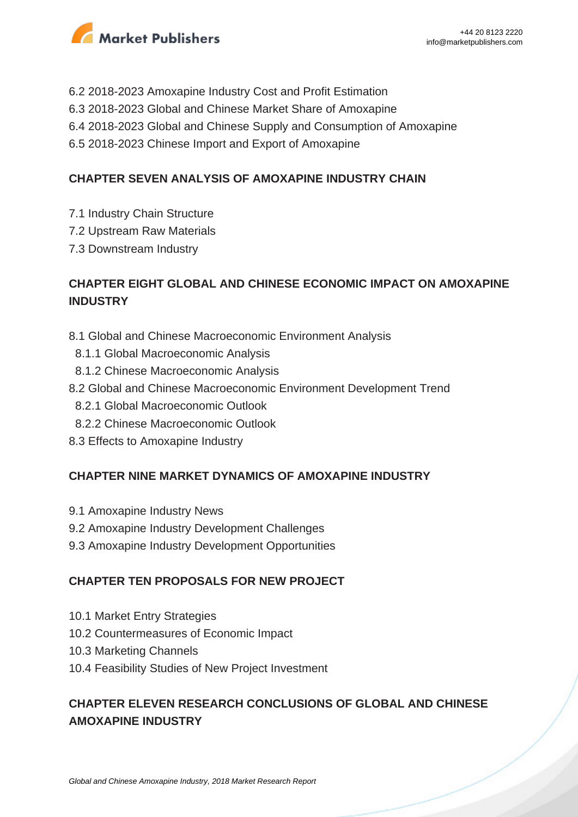

- 6.2 2018-2023 Amoxapine Industry Cost and Profit Estimation
- 6.3 2018-2023 Global and Chinese Market Share of Amoxapine
- 6.4 2018-2023 Global and Chinese Supply and Consumption of Amoxapine
- 6.5 2018-2023 Chinese Import and Export of Amoxapine

#### **CHAPTER SEVEN ANALYSIS OF AMOXAPINE INDUSTRY CHAIN**

- 7.1 Industry Chain Structure
- 7.2 Upstream Raw Materials
- 7.3 Downstream Industry

### **CHAPTER EIGHT GLOBAL AND CHINESE ECONOMIC IMPACT ON AMOXAPINE INDUSTRY**

- 8.1 Global and Chinese Macroeconomic Environment Analysis
	- 8.1.1 Global Macroeconomic Analysis
- 8.1.2 Chinese Macroeconomic Analysis
- 8.2 Global and Chinese Macroeconomic Environment Development Trend
	- 8.2.1 Global Macroeconomic Outlook
- 8.2.2 Chinese Macroeconomic Outlook
- 8.3 Effects to Amoxapine Industry

#### **CHAPTER NINE MARKET DYNAMICS OF AMOXAPINE INDUSTRY**

- 9.1 Amoxapine Industry News
- 9.2 Amoxapine Industry Development Challenges
- 9.3 Amoxapine Industry Development Opportunities

#### **CHAPTER TEN PROPOSALS FOR NEW PROJECT**

- 10.1 Market Entry Strategies
- 10.2 Countermeasures of Economic Impact
- 10.3 Marketing Channels
- 10.4 Feasibility Studies of New Project Investment

### **CHAPTER ELEVEN RESEARCH CONCLUSIONS OF GLOBAL AND CHINESE AMOXAPINE INDUSTRY**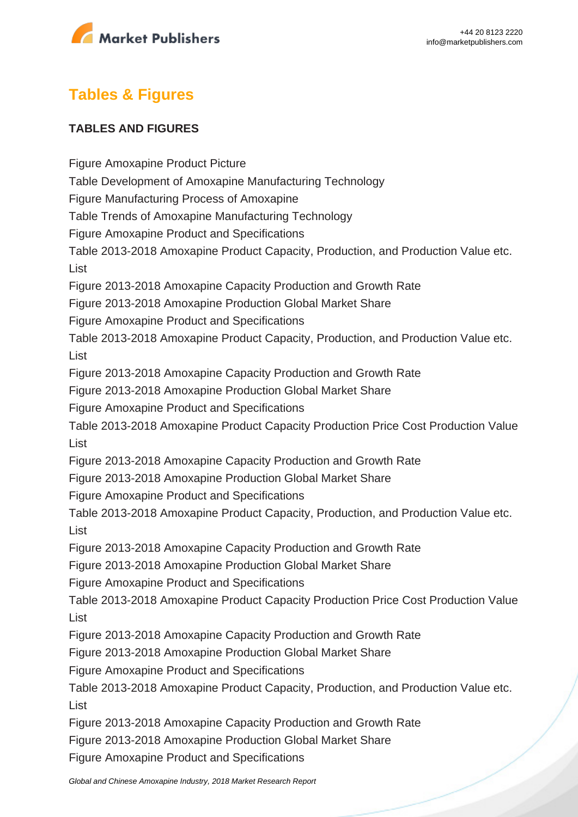

# **Tables & Figures**

#### **TABLES AND FIGURES**

Figure Amoxapine Product Picture Table Development of Amoxapine Manufacturing Technology Figure Manufacturing Process of Amoxapine Table Trends of Amoxapine Manufacturing Technology Figure Amoxapine Product and Specifications Table 2013-2018 Amoxapine Product Capacity, Production, and Production Value etc. List Figure 2013-2018 Amoxapine Capacity Production and Growth Rate Figure 2013-2018 Amoxapine Production Global Market Share Figure Amoxapine Product and Specifications Table 2013-2018 Amoxapine Product Capacity, Production, and Production Value etc. List Figure 2013-2018 Amoxapine Capacity Production and Growth Rate Figure 2013-2018 Amoxapine Production Global Market Share Figure Amoxapine Product and Specifications Table 2013-2018 Amoxapine Product Capacity Production Price Cost Production Value List Figure 2013-2018 Amoxapine Capacity Production and Growth Rate Figure 2013-2018 Amoxapine Production Global Market Share Figure Amoxapine Product and Specifications Table 2013-2018 Amoxapine Product Capacity, Production, and Production Value etc. List Figure 2013-2018 Amoxapine Capacity Production and Growth Rate Figure 2013-2018 Amoxapine Production Global Market Share Figure Amoxapine Product and Specifications Table 2013-2018 Amoxapine Product Capacity Production Price Cost Production Value List Figure 2013-2018 Amoxapine Capacity Production and Growth Rate Figure 2013-2018 Amoxapine Production Global Market Share Figure Amoxapine Product and Specifications Table 2013-2018 Amoxapine Product Capacity, Production, and Production Value etc. List Figure 2013-2018 Amoxapine Capacity Production and Growth Rate Figure 2013-2018 Amoxapine Production Global Market Share Figure Amoxapine Product and Specifications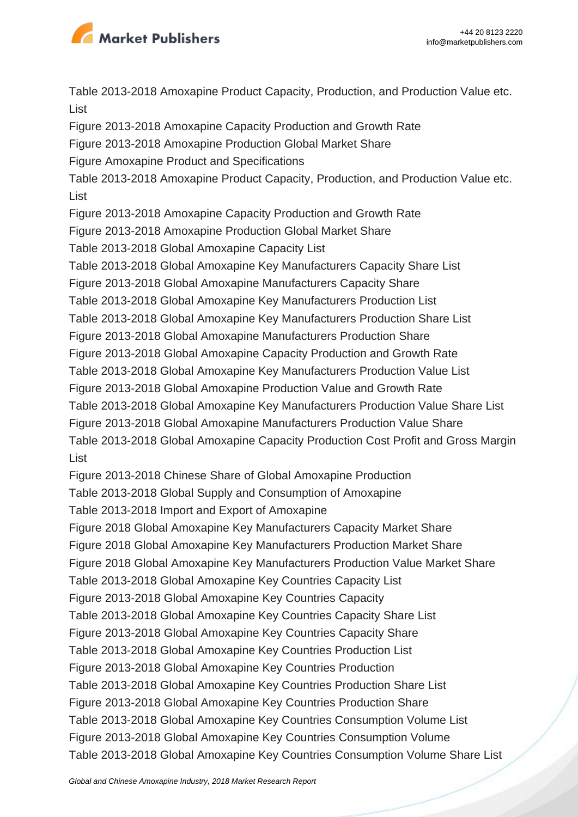

Table 2013-2018 Amoxapine Product Capacity, Production, and Production Value etc. List

Figure 2013-2018 Amoxapine Capacity Production and Growth Rate

Figure 2013-2018 Amoxapine Production Global Market Share

Figure Amoxapine Product and Specifications

Table 2013-2018 Amoxapine Product Capacity, Production, and Production Value etc. List

Figure 2013-2018 Amoxapine Capacity Production and Growth Rate

Figure 2013-2018 Amoxapine Production Global Market Share

Table 2013-2018 Global Amoxapine Capacity List

Table 2013-2018 Global Amoxapine Key Manufacturers Capacity Share List

Figure 2013-2018 Global Amoxapine Manufacturers Capacity Share

Table 2013-2018 Global Amoxapine Key Manufacturers Production List

Table 2013-2018 Global Amoxapine Key Manufacturers Production Share List

Figure 2013-2018 Global Amoxapine Manufacturers Production Share

Figure 2013-2018 Global Amoxapine Capacity Production and Growth Rate

Table 2013-2018 Global Amoxapine Key Manufacturers Production Value List

Figure 2013-2018 Global Amoxapine Production Value and Growth Rate

Table 2013-2018 Global Amoxapine Key Manufacturers Production Value Share List

Figure 2013-2018 Global Amoxapine Manufacturers Production Value Share

Table 2013-2018 Global Amoxapine Capacity Production Cost Profit and Gross Margin List

Figure 2013-2018 Chinese Share of Global Amoxapine Production

Table 2013-2018 Global Supply and Consumption of Amoxapine

Table 2013-2018 Import and Export of Amoxapine

Figure 2018 Global Amoxapine Key Manufacturers Capacity Market Share Figure 2018 Global Amoxapine Key Manufacturers Production Market Share Figure 2018 Global Amoxapine Key Manufacturers Production Value Market Share Table 2013-2018 Global Amoxapine Key Countries Capacity List Figure 2013-2018 Global Amoxapine Key Countries Capacity Table 2013-2018 Global Amoxapine Key Countries Capacity Share List Figure 2013-2018 Global Amoxapine Key Countries Capacity Share Table 2013-2018 Global Amoxapine Key Countries Production List Figure 2013-2018 Global Amoxapine Key Countries Production Table 2013-2018 Global Amoxapine Key Countries Production Share List Figure 2013-2018 Global Amoxapine Key Countries Production Share Table 2013-2018 Global Amoxapine Key Countries Consumption Volume List Figure 2013-2018 Global Amoxapine Key Countries Consumption Volume Table 2013-2018 Global Amoxapine Key Countries Consumption Volume Share List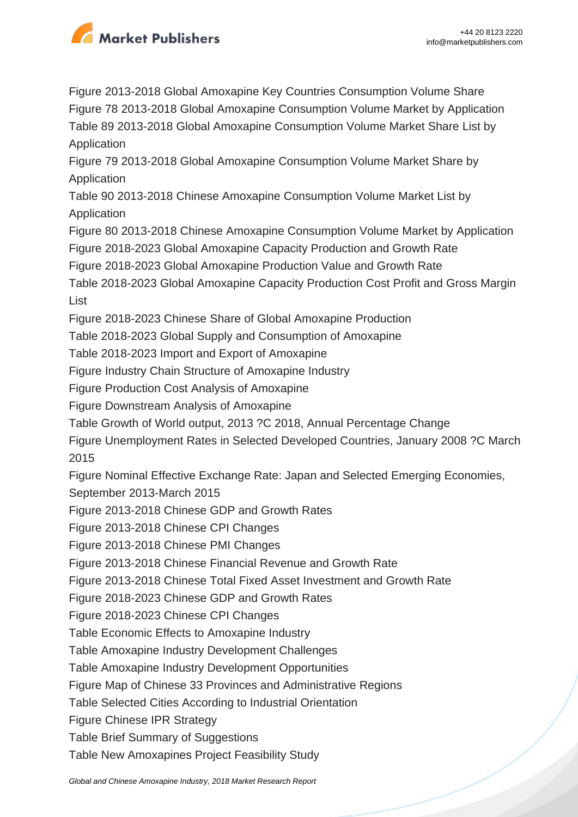

Figure 2013-2018 Global Amoxapine Key Countries Consumption Volume Share Figure 78 2013-2018 Global Amoxapine Consumption Volume Market by Application Table 89 2013-2018 Global Amoxapine Consumption Volume Market Share List by **Application** 

Figure 79 2013-2018 Global Amoxapine Consumption Volume Market Share by **Application** 

Table 90 2013-2018 Chinese Amoxapine Consumption Volume Market List by Application

Figure 80 2013-2018 Chinese Amoxapine Consumption Volume Market by Application Figure 2018-2023 Global Amoxapine Capacity Production and Growth Rate

Figure 2018-2023 Global Amoxapine Production Value and Growth Rate

Table 2018-2023 Global Amoxapine Capacity Production Cost Profit and Gross Margin List

Figure 2018-2023 Chinese Share of Global Amoxapine Production

Table 2018-2023 Global Supply and Consumption of Amoxapine

Table 2018-2023 Import and Export of Amoxapine

Figure Industry Chain Structure of Amoxapine Industry

Figure Production Cost Analysis of Amoxapine

Figure Downstream Analysis of Amoxapine

Table Growth of World output, 2013 ?C 2018, Annual Percentage Change

Figure Unemployment Rates in Selected Developed Countries, January 2008 ?C March 2015

Figure Nominal Effective Exchange Rate: Japan and Selected Emerging Economies,

September 2013-March 2015

Figure 2013-2018 Chinese GDP and Growth Rates

Figure 2013-2018 Chinese CPI Changes

Figure 2013-2018 Chinese PMI Changes

Figure 2013-2018 Chinese Financial Revenue and Growth Rate

Figure 2013-2018 Chinese Total Fixed Asset Investment and Growth Rate

Figure 2018-2023 Chinese GDP and Growth Rates

Figure 2018-2023 Chinese CPI Changes

Table Economic Effects to Amoxapine Industry

Table Amoxapine Industry Development Challenges

Table Amoxapine Industry Development Opportunities

Figure Map of Chinese 33 Provinces and Administrative Regions

Table Selected Cities According to Industrial Orientation

Figure Chinese IPR Strategy

Table Brief Summary of Suggestions

Table New Amoxapines Project Feasibility Study